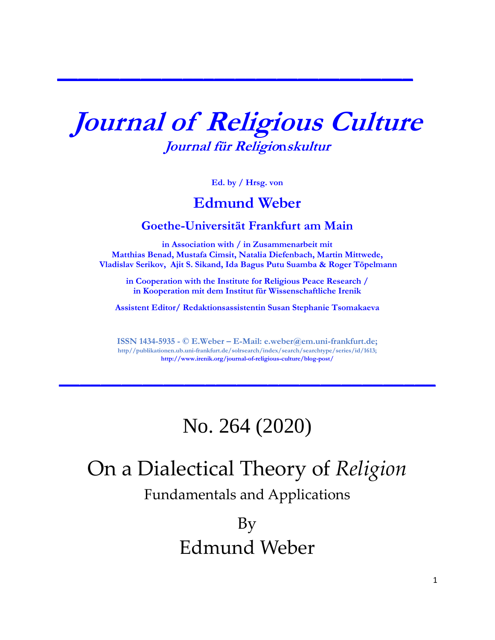# **Journal of Religious Culture Journal für Religionskultur**

**\_\_\_\_\_\_\_\_\_\_\_\_\_\_\_\_\_\_\_\_\_\_\_\_\_\_\_\_\_\_\_\_\_\_**

**Ed. by / Hrsg. von**

### **Edmund Weber**

#### **Goethe-Universität Frankfurt am Main**

**in Association with / in Zusammenarbeit mit Matthias Benad, Mustafa Cimsit, Natalia Diefenbach, Martin Mittwede, Vladislav Serikov, Ajit S. Sikand, Ida Bagus Putu Suamba & Roger Töpelmann**

**in Cooperation with the Institute for Religious Peace Research / in Kooperation mit dem Institut für Wissenschaftliche Irenik**

**Assistent Editor/ Redaktionsassistentin Susan Stephanie Tsomakaeva** 

**ISSN 1434-5935 - © E.Weber – E-Mail: e.weber@em.uni-frankfurt.de; http//publikationen.ub.uni-frankfurt.de/solrsearch/index/search/searchtype/series/id/1613; <http://www.irenik.org/journal-of-religious-culture/blog-post/>**

**\_\_\_\_\_\_\_\_\_\_\_\_\_\_\_\_\_\_\_\_\_\_\_\_\_\_\_\_\_\_\_\_\_\_\_\_**

### No. 264 (2020)

## On a Dialectical Theory of *Religion*

Fundamentals and Applications

By Edmund Weber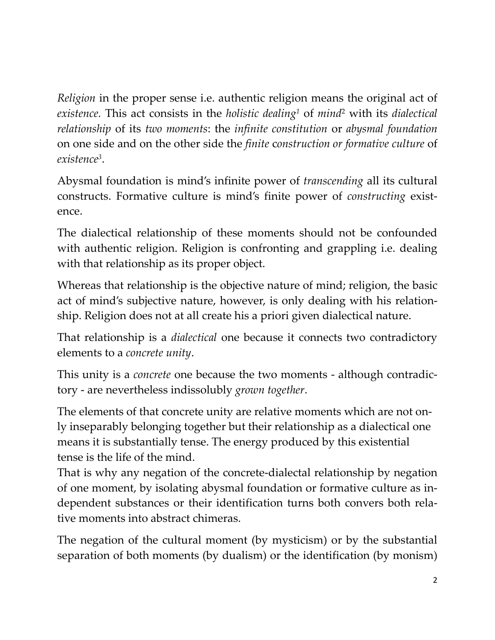*Religion* in the proper sense i.e. authentic religion means the original act of *existence.* This act consists in the *holistic dealing<sup>1</sup>* of *mind*<sup>2</sup> with its *dialectical relationship* of its *two moments*: the *infinite constitution* or *abysmal foundation* on one side and on the other side the *finite* c*onstruction or formative culture* of *existence<sup>3</sup>* .

Abysmal foundation is mind's infinite power of *transcending* all its cultural constructs. Formative culture is mind's finite power of *constructing* existence.

The dialectical relationship of these moments should not be confounded with authentic religion. Religion is confronting and grappling i.e. dealing with that relationship as its proper object.

Whereas that relationship is the objective nature of mind; religion, the basic act of mind's subjective nature, however, is only dealing with his relationship. Religion does not at all create his a priori given dialectical nature.

That relationship is a *dialectical* one because it connects two contradictory elements to a *concrete unity*.

This unity is a *concrete* one because the two moments - although contradictory - are nevertheless indissolubly *grown together*.

The elements of that concrete unity are relative moments which are not only inseparably belonging together but their relationship as a dialectical one means it is substantially tense. The energy produced by this existential tense is the life of the mind.

That is why any negation of the concrete-dialectal relationship by negation of one moment, by isolating abysmal foundation or formative culture as independent substances or their identification turns both convers both relative moments into abstract chimeras.

The negation of the cultural moment (by mysticism) or by the substantial separation of both moments (by dualism) or the identification (by monism)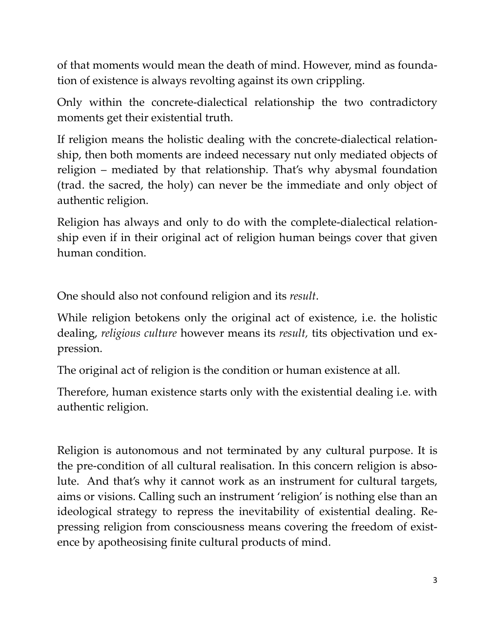of that moments would mean the death of mind. However, mind as foundation of existence is always revolting against its own crippling.

Only within the concrete-dialectical relationship the two contradictory moments get their existential truth.

If religion means the holistic dealing with the concrete-dialectical relationship, then both moments are indeed necessary nut only mediated objects of religion – mediated by that relationship. That's why abysmal foundation (trad. the sacred, the holy) can never be the immediate and only object of authentic religion.

Religion has always and only to do with the complete-dialectical relationship even if in their original act of religion human beings cover that given human condition.

One should also not confound religion and its *result*.

While religion betokens only the original act of existence, i.e. the holistic dealing, *religious culture* however means its *result,* tits objectivation und expression.

The original act of religion is the condition or human existence at all.

Therefore, human existence starts only with the existential dealing i.e. with authentic religion.

Religion is autonomous and not terminated by any cultural purpose. It is the pre-condition of all cultural realisation. In this concern religion is absolute. And that's why it cannot work as an instrument for cultural targets, aims or visions. Calling such an instrument 'religion' is nothing else than an ideological strategy to repress the inevitability of existential dealing. Repressing religion from consciousness means covering the freedom of existence by apotheosising finite cultural products of mind.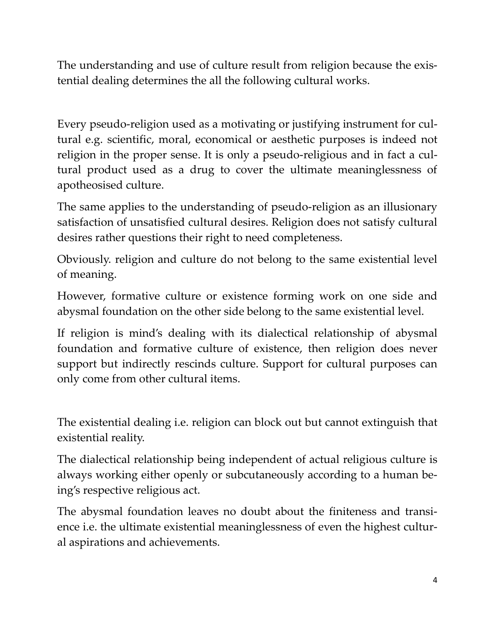The understanding and use of culture result from religion because the existential dealing determines the all the following cultural works.

Every pseudo-religion used as a motivating or justifying instrument for cultural e.g. scientific, moral, economical or aesthetic purposes is indeed not religion in the proper sense. It is only a pseudo-religious and in fact a cultural product used as a drug to cover the ultimate meaninglessness of apotheosised culture.

The same applies to the understanding of pseudo-religion as an illusionary satisfaction of unsatisfied cultural desires. Religion does not satisfy cultural desires rather questions their right to need completeness.

Obviously. religion and culture do not belong to the same existential level of meaning.

However, formative culture or existence forming work on one side and abysmal foundation on the other side belong to the same existential level.

If religion is mind's dealing with its dialectical relationship of abysmal foundation and formative culture of existence, then religion does never support but indirectly rescinds culture. Support for cultural purposes can only come from other cultural items.

The existential dealing i.e. religion can block out but cannot extinguish that existential reality.

The dialectical relationship being independent of actual religious culture is always working either openly or subcutaneously according to a human being's respective religious act.

The abysmal foundation leaves no doubt about the finiteness and transience i.e. the ultimate existential meaninglessness of even the highest cultural aspirations and achievements.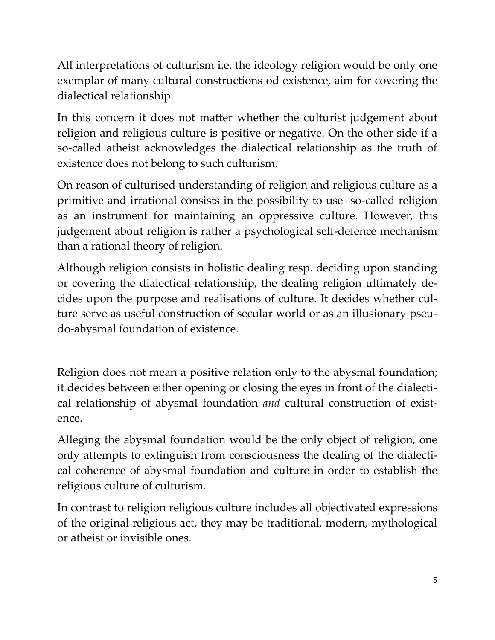All interpretations of culturism i.e. the ideology religion would be only one exemplar of many cultural constructions od existence, aim for covering the dialectical relationship.

In this concern it does not matter whether the culturist judgement about religion and religious culture is positive or negative. On the other side if a so-called atheist acknowledges the dialectical relationship as the truth of existence does not belong to such culturism.

On reason of culturised understanding of religion and religious culture as a primitive and irrational consists in the possibility to use so-called religion as an instrument for maintaining an oppressive culture. However, this judgement about religion is rather a psychological self-defence mechanism than a rational theory of religion.

Although religion consists in holistic dealing resp. deciding upon standing or covering the dialectical relationship, the dealing religion ultimately decides upon the purpose and realisations of culture. It decides whether culture serve as useful construction of secular world or as an illusionary pseudo-abysmal foundation of existence.

Religion does not mean a positive relation only to the abysmal foundation; it decides between either opening or closing the eyes in front of the dialectical relationship of abysmal foundation *and* cultural construction of existence.

Alleging the abysmal foundation would be the only object of religion, one only attempts to extinguish from consciousness the dealing of the dialectical coherence of abysmal foundation and culture in order to establish the religious culture of culturism.

In contrast to religion religious culture includes all objectivated expressions of the original religious act, they may be traditional, modern, mythological or atheist or invisible ones.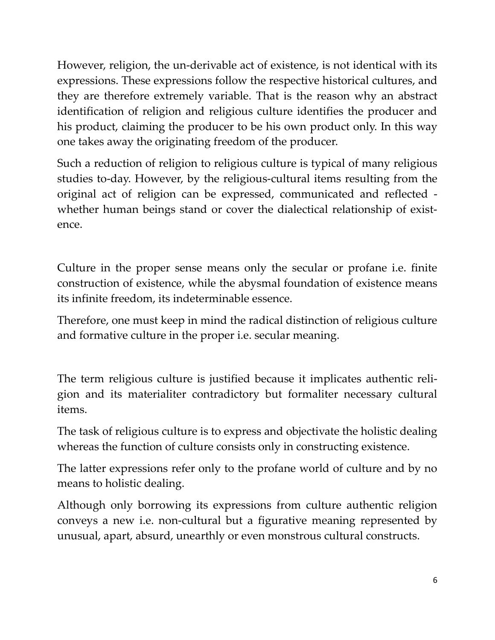However, religion, the un-derivable act of existence, is not identical with its expressions. These expressions follow the respective historical cultures, and they are therefore extremely variable. That is the reason why an abstract identification of religion and religious culture identifies the producer and his product, claiming the producer to be his own product only. In this way one takes away the originating freedom of the producer.

Such a reduction of religion to religious culture is typical of many religious studies to-day. However, by the religious-cultural items resulting from the original act of religion can be expressed, communicated and reflected whether human beings stand or cover the dialectical relationship of existence.

Culture in the proper sense means only the secular or profane i.e. finite construction of existence, while the abysmal foundation of existence means its infinite freedom, its indeterminable essence.

Therefore, one must keep in mind the radical distinction of religious culture and formative culture in the proper i.e. secular meaning.

The term religious culture is justified because it implicates authentic religion and its materialiter contradictory but formaliter necessary cultural items.

The task of religious culture is to express and objectivate the holistic dealing whereas the function of culture consists only in constructing existence.

The latter expressions refer only to the profane world of culture and by no means to holistic dealing.

Although only borrowing its expressions from culture authentic religion conveys a new i.e. non-cultural but a figurative meaning represented by unusual, apart, absurd, unearthly or even monstrous cultural constructs.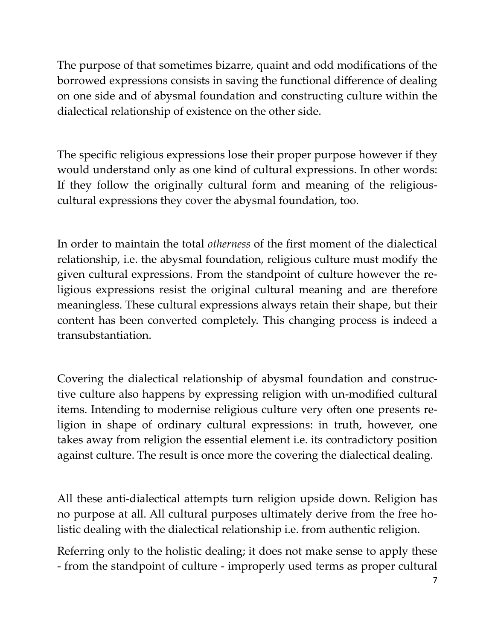The purpose of that sometimes bizarre, quaint and odd modifications of the borrowed expressions consists in saving the functional difference of dealing on one side and of abysmal foundation and constructing culture within the dialectical relationship of existence on the other side.

The specific religious expressions lose their proper purpose however if they would understand only as one kind of cultural expressions. In other words: If they follow the originally cultural form and meaning of the religiouscultural expressions they cover the abysmal foundation, too.

In order to maintain the total *otherness* of the first moment of the dialectical relationship, i.e. the abysmal foundation, religious culture must modify the given cultural expressions. From the standpoint of culture however the religious expressions resist the original cultural meaning and are therefore meaningless. These cultural expressions always retain their shape, but their content has been converted completely. This changing process is indeed a transubstantiation.

Covering the dialectical relationship of abysmal foundation and constructive culture also happens by expressing religion with un-modified cultural items. Intending to modernise religious culture very often one presents religion in shape of ordinary cultural expressions: in truth, however, one takes away from religion the essential element i.e. its contradictory position against culture. The result is once more the covering the dialectical dealing.

All these anti-dialectical attempts turn religion upside down. Religion has no purpose at all. All cultural purposes ultimately derive from the free holistic dealing with the dialectical relationship i.e. from authentic religion.

Referring only to the holistic dealing; it does not make sense to apply these - from the standpoint of culture - improperly used terms as proper cultural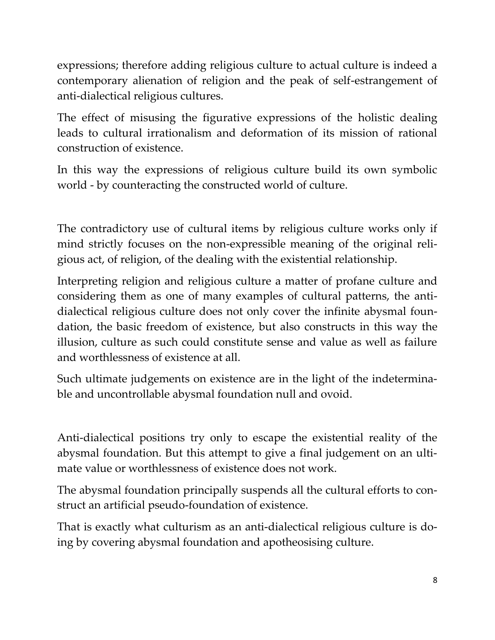expressions; therefore adding religious culture to actual culture is indeed a contemporary alienation of religion and the peak of self-estrangement of anti-dialectical religious cultures.

The effect of misusing the figurative expressions of the holistic dealing leads to cultural irrationalism and deformation of its mission of rational construction of existence.

In this way the expressions of religious culture build its own symbolic world - by counteracting the constructed world of culture.

The contradictory use of cultural items by religious culture works only if mind strictly focuses on the non-expressible meaning of the original religious act, of religion, of the dealing with the existential relationship.

Interpreting religion and religious culture a matter of profane culture and considering them as one of many examples of cultural patterns, the antidialectical religious culture does not only cover the infinite abysmal foundation, the basic freedom of existence, but also constructs in this way the illusion, culture as such could constitute sense and value as well as failure and worthlessness of existence at all.

Such ultimate judgements on existence are in the light of the indeterminable and uncontrollable abysmal foundation null and ovoid.

Anti-dialectical positions try only to escape the existential reality of the abysmal foundation. But this attempt to give a final judgement on an ultimate value or worthlessness of existence does not work.

The abysmal foundation principally suspends all the cultural efforts to construct an artificial pseudo-foundation of existence.

That is exactly what culturism as an anti-dialectical religious culture is doing by covering abysmal foundation and apotheosising culture.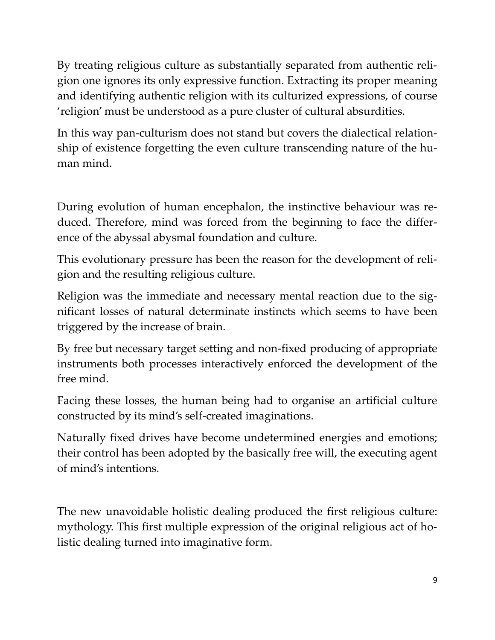By treating religious culture as substantially separated from authentic religion one ignores its only expressive function. Extracting its proper meaning and identifying authentic religion with its culturized expressions, of course 'religion' must be understood as a pure cluster of cultural absurdities.

In this way pan-culturism does not stand but covers the dialectical relationship of existence forgetting the even culture transcending nature of the human mind.

During evolution of human encephalon, the instinctive behaviour was reduced. Therefore, mind was forced from the beginning to face the difference of the abyssal abysmal foundation and culture.

This evolutionary pressure has been the reason for the development of religion and the resulting religious culture.

Religion was the immediate and necessary mental reaction due to the significant losses of natural determinate instincts which seems to have been triggered by the increase of brain.

By free but necessary target setting and non-fixed producing of appropriate instruments both processes interactively enforced the development of the free mind.

Facing these losses, the human being had to organise an artificial culture constructed by its mind's self-created imaginations.

Naturally fixed drives have become undetermined energies and emotions; their control has been adopted by the basically free will, the executing agent of mind's intentions.

The new unavoidable holistic dealing produced the first religious culture: mythology. This first multiple expression of the original religious act of holistic dealing turned into imaginative form.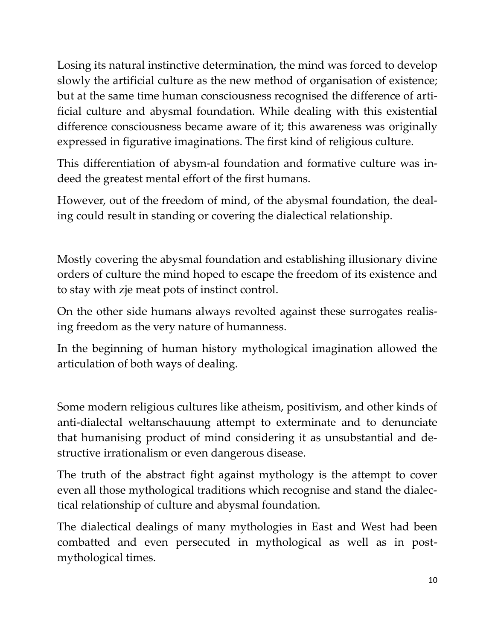Losing its natural instinctive determination, the mind was forced to develop slowly the artificial culture as the new method of organisation of existence; but at the same time human consciousness recognised the difference of artificial culture and abysmal foundation. While dealing with this existential difference consciousness became aware of it; this awareness was originally expressed in figurative imaginations. The first kind of religious culture.

This differentiation of abysm-al foundation and formative culture was indeed the greatest mental effort of the first humans.

However, out of the freedom of mind, of the abysmal foundation, the dealing could result in standing or covering the dialectical relationship.

Mostly covering the abysmal foundation and establishing illusionary divine orders of culture the mind hoped to escape the freedom of its existence and to stay with zje meat pots of instinct control.

On the other side humans always revolted against these surrogates realising freedom as the very nature of humanness.

In the beginning of human history mythological imagination allowed the articulation of both ways of dealing.

Some modern religious cultures like atheism, positivism, and other kinds of anti-dialectal weltanschauung attempt to exterminate and to denunciate that humanising product of mind considering it as unsubstantial and destructive irrationalism or even dangerous disease.

The truth of the abstract fight against mythology is the attempt to cover even all those mythological traditions which recognise and stand the dialectical relationship of culture and abysmal foundation.

The dialectical dealings of many mythologies in East and West had been combatted and even persecuted in mythological as well as in postmythological times.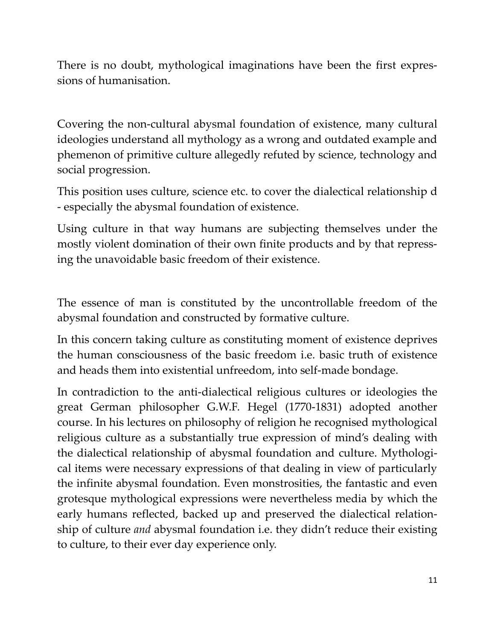There is no doubt, mythological imaginations have been the first expressions of humanisation.

Covering the non-cultural abysmal foundation of existence, many cultural ideologies understand all mythology as a wrong and outdated example and phemenon of primitive culture allegedly refuted by science, technology and social progression.

This position uses culture, science etc. to cover the dialectical relationship d - especially the abysmal foundation of existence.

Using culture in that way humans are subjecting themselves under the mostly violent domination of their own finite products and by that repressing the unavoidable basic freedom of their existence.

The essence of man is constituted by the uncontrollable freedom of the abysmal foundation and constructed by formative culture.

In this concern taking culture as constituting moment of existence deprives the human consciousness of the basic freedom i.e. basic truth of existence and heads them into existential unfreedom, into self-made bondage.

In contradiction to the anti-dialectical religious cultures or ideologies the great German philosopher G.W.F. Hegel (1770-1831) adopted another course. In his lectures on philosophy of religion he recognised mythological religious culture as a substantially true expression of mind's dealing with the dialectical relationship of abysmal foundation and culture. Mythological items were necessary expressions of that dealing in view of particularly the infinite abysmal foundation. Even monstrosities, the fantastic and even grotesque mythological expressions were nevertheless media by which the early humans reflected, backed up and preserved the dialectical relationship of culture *and* abysmal foundation i.e. they didn't reduce their existing to culture, to their ever day experience only.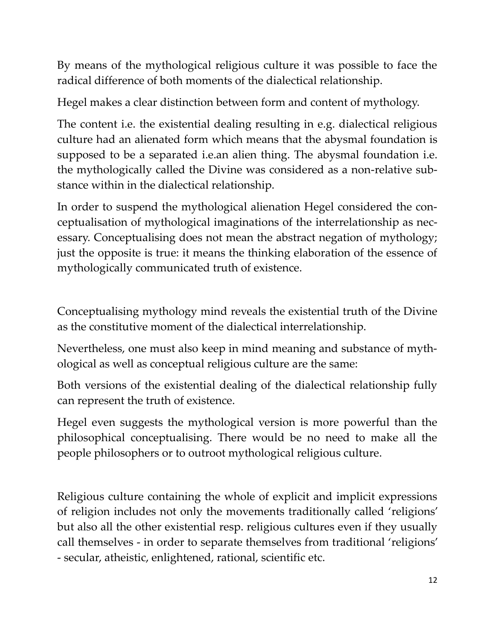By means of the mythological religious culture it was possible to face the radical difference of both moments of the dialectical relationship.

Hegel makes a clear distinction between form and content of mythology.

The content i.e. the existential dealing resulting in e.g. dialectical religious culture had an alienated form which means that the abysmal foundation is supposed to be a separated i.e.an alien thing. The abysmal foundation i.e. the mythologically called the Divine was considered as a non-relative substance within in the dialectical relationship.

In order to suspend the mythological alienation Hegel considered the conceptualisation of mythological imaginations of the interrelationship as necessary. Conceptualising does not mean the abstract negation of mythology; just the opposite is true: it means the thinking elaboration of the essence of mythologically communicated truth of existence.

Conceptualising mythology mind reveals the existential truth of the Divine as the constitutive moment of the dialectical interrelationship.

Nevertheless, one must also keep in mind meaning and substance of mythological as well as conceptual religious culture are the same:

Both versions of the existential dealing of the dialectical relationship fully can represent the truth of existence.

Hegel even suggests the mythological version is more powerful than the philosophical conceptualising. There would be no need to make all the people philosophers or to outroot mythological religious culture.

Religious culture containing the whole of explicit and implicit expressions of religion includes not only the movements traditionally called 'religions' but also all the other existential resp. religious cultures even if they usually call themselves - in order to separate themselves from traditional 'religions' - secular, atheistic, enlightened, rational, scientific etc.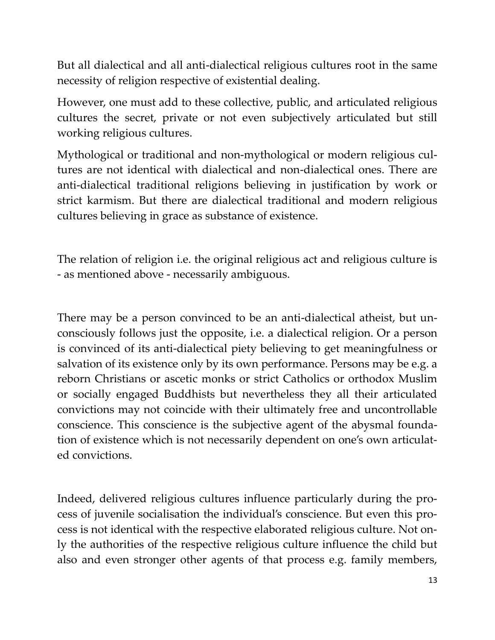But all dialectical and all anti-dialectical religious cultures root in the same necessity of religion respective of existential dealing.

However, one must add to these collective, public, and articulated religious cultures the secret, private or not even subjectively articulated but still working religious cultures.

Mythological or traditional and non-mythological or modern religious cultures are not identical with dialectical and non-dialectical ones. There are anti-dialectical traditional religions believing in justification by work or strict karmism. But there are dialectical traditional and modern religious cultures believing in grace as substance of existence.

The relation of religion i.e. the original religious act and religious culture is - as mentioned above - necessarily ambiguous.

There may be a person convinced to be an anti-dialectical atheist, but unconsciously follows just the opposite, i.e. a dialectical religion. Or a person is convinced of its anti-dialectical piety believing to get meaningfulness or salvation of its existence only by its own performance. Persons may be e.g. a reborn Christians or ascetic monks or strict Catholics or orthodox Muslim or socially engaged Buddhists but nevertheless they all their articulated convictions may not coincide with their ultimately free and uncontrollable conscience. This conscience is the subjective agent of the abysmal foundation of existence which is not necessarily dependent on one's own articulated convictions.

Indeed, delivered religious cultures influence particularly during the process of juvenile socialisation the individual's conscience. But even this process is not identical with the respective elaborated religious culture. Not only the authorities of the respective religious culture influence the child but also and even stronger other agents of that process e.g. family members,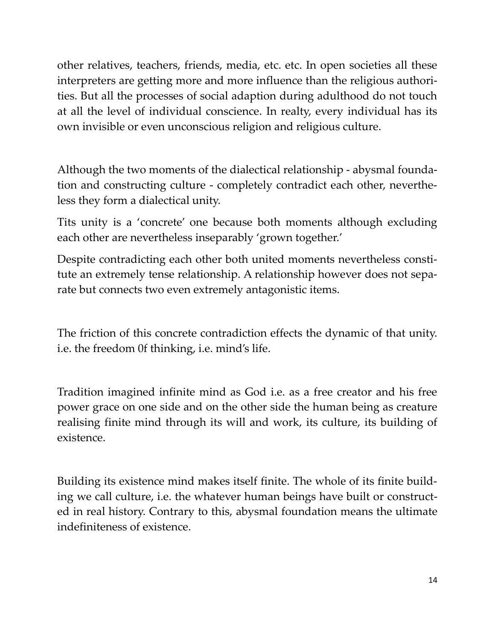other relatives, teachers, friends, media, etc. etc. In open societies all these interpreters are getting more and more influence than the religious authorities. But all the processes of social adaption during adulthood do not touch at all the level of individual conscience. In realty, every individual has its own invisible or even unconscious religion and religious culture.

Although the two moments of the dialectical relationship - abysmal foundation and constructing culture - completely contradict each other, nevertheless they form a dialectical unity.

Tits unity is a 'concrete' one because both moments although excluding each other are nevertheless inseparably 'grown together.'

Despite contradicting each other both united moments nevertheless constitute an extremely tense relationship. A relationship however does not separate but connects two even extremely antagonistic items.

The friction of this concrete contradiction effects the dynamic of that unity. i.e. the freedom 0f thinking, i.e. mind's life.

Tradition imagined infinite mind as God i.e. as a free creator and his free power grace on one side and on the other side the human being as creature realising finite mind through its will and work, its culture, its building of existence.

Building its existence mind makes itself finite. The whole of its finite building we call culture, i.e. the whatever human beings have built or constructed in real history. Contrary to this, abysmal foundation means the ultimate indefiniteness of existence.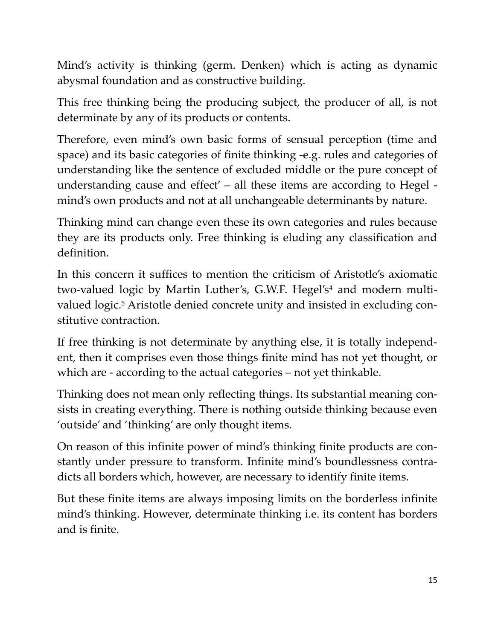Mind's activity is thinking (germ. Denken) which is acting as dynamic abysmal foundation and as constructive building.

This free thinking being the producing subject, the producer of all, is not determinate by any of its products or contents.

Therefore, even mind's own basic forms of sensual perception (time and space) and its basic categories of finite thinking -e.g. rules and categories of understanding like the sentence of excluded middle or the pure concept of understanding cause and effect' – all these items are according to Hegel mind's own products and not at all unchangeable determinants by nature.

Thinking mind can change even these its own categories and rules because they are its products only. Free thinking is eluding any classification and definition.

In this concern it suffices to mention the criticism of Aristotle's axiomatic two-valued logic by Martin Luther's, G.W.F. Hegel's<sup>4</sup> and modern multivalued logic.<sup>5</sup> Aristotle denied concrete unity and insisted in excluding constitutive contraction.

If free thinking is not determinate by anything else, it is totally independent, then it comprises even those things finite mind has not yet thought, or which are - according to the actual categories – not yet thinkable.

Thinking does not mean only reflecting things. Its substantial meaning consists in creating everything. There is nothing outside thinking because even 'outside' and 'thinking' are only thought items.

On reason of this infinite power of mind's thinking finite products are constantly under pressure to transform. Infinite mind's boundlessness contradicts all borders which, however, are necessary to identify finite items.

But these finite items are always imposing limits on the borderless infinite mind's thinking. However, determinate thinking i.e. its content has borders and is finite.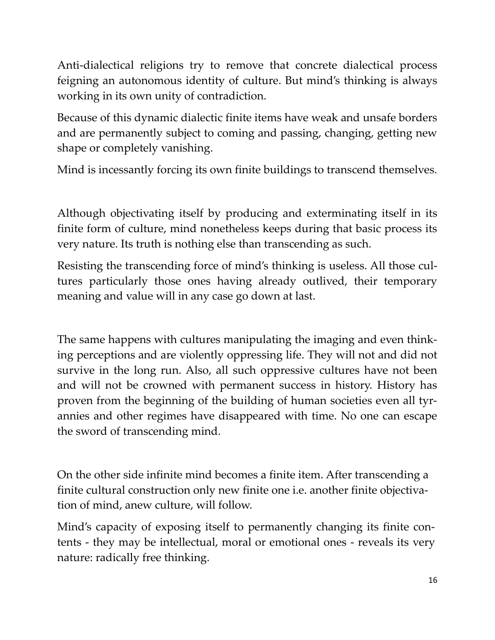Anti-dialectical religions try to remove that concrete dialectical process feigning an autonomous identity of culture. But mind's thinking is always working in its own unity of contradiction.

Because of this dynamic dialectic finite items have weak and unsafe borders and are permanently subject to coming and passing, changing, getting new shape or completely vanishing.

Mind is incessantly forcing its own finite buildings to transcend themselves.

Although objectivating itself by producing and exterminating itself in its finite form of culture, mind nonetheless keeps during that basic process its very nature. Its truth is nothing else than transcending as such.

Resisting the transcending force of mind's thinking is useless. All those cultures particularly those ones having already outlived, their temporary meaning and value will in any case go down at last.

The same happens with cultures manipulating the imaging and even thinking perceptions and are violently oppressing life. They will not and did not survive in the long run. Also, all such oppressive cultures have not been and will not be crowned with permanent success in history. History has proven from the beginning of the building of human societies even all tyrannies and other regimes have disappeared with time. No one can escape the sword of transcending mind.

On the other side infinite mind becomes a finite item. After transcending a finite cultural construction only new finite one i.e. another finite objectivation of mind, anew culture, will follow.

Mind's capacity of exposing itself to permanently changing its finite contents - they may be intellectual, moral or emotional ones - reveals its very nature: radically free thinking.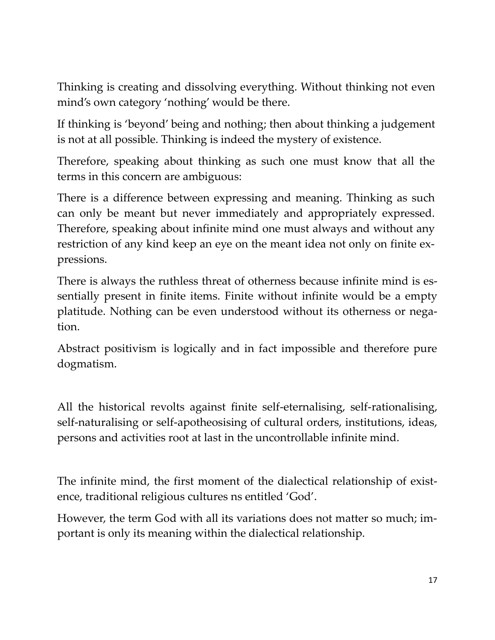Thinking is creating and dissolving everything. Without thinking not even mind's own category 'nothing' would be there.

If thinking is 'beyond' being and nothing; then about thinking a judgement is not at all possible. Thinking is indeed the mystery of existence.

Therefore, speaking about thinking as such one must know that all the terms in this concern are ambiguous:

There is a difference between expressing and meaning. Thinking as such can only be meant but never immediately and appropriately expressed. Therefore, speaking about infinite mind one must always and without any restriction of any kind keep an eye on the meant idea not only on finite expressions.

There is always the ruthless threat of otherness because infinite mind is essentially present in finite items. Finite without infinite would be a empty platitude. Nothing can be even understood without its otherness or negation.

Abstract positivism is logically and in fact impossible and therefore pure dogmatism.

All the historical revolts against finite self-eternalising, self-rationalising, self-naturalising or self-apotheosising of cultural orders, institutions, ideas, persons and activities root at last in the uncontrollable infinite mind.

The infinite mind, the first moment of the dialectical relationship of existence, traditional religious cultures ns entitled 'God'.

However, the term God with all its variations does not matter so much; important is only its meaning within the dialectical relationship.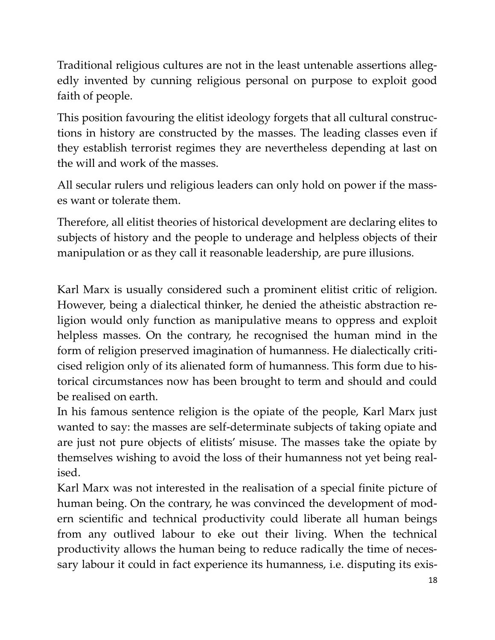Traditional religious cultures are not in the least untenable assertions allegedly invented by cunning religious personal on purpose to exploit good faith of people.

This position favouring the elitist ideology forgets that all cultural constructions in history are constructed by the masses. The leading classes even if they establish terrorist regimes they are nevertheless depending at last on the will and work of the masses.

All secular rulers und religious leaders can only hold on power if the masses want or tolerate them.

Therefore, all elitist theories of historical development are declaring elites to subjects of history and the people to underage and helpless objects of their manipulation or as they call it reasonable leadership, are pure illusions.

Karl Marx is usually considered such a prominent elitist critic of religion. However, being a dialectical thinker, he denied the atheistic abstraction religion would only function as manipulative means to oppress and exploit helpless masses. On the contrary, he recognised the human mind in the form of religion preserved imagination of humanness. He dialectically criticised religion only of its alienated form of humanness. This form due to historical circumstances now has been brought to term and should and could be realised on earth.

In his famous sentence religion is the opiate of the people, Karl Marx just wanted to say: the masses are self-determinate subjects of taking opiate and are just not pure objects of elitists' misuse. The masses take the opiate by themselves wishing to avoid the loss of their humanness not yet being realised.

Karl Marx was not interested in the realisation of a special finite picture of human being. On the contrary, he was convinced the development of modern scientific and technical productivity could liberate all human beings from any outlived labour to eke out their living. When the technical productivity allows the human being to reduce radically the time of necessary labour it could in fact experience its humanness, i.e. disputing its exis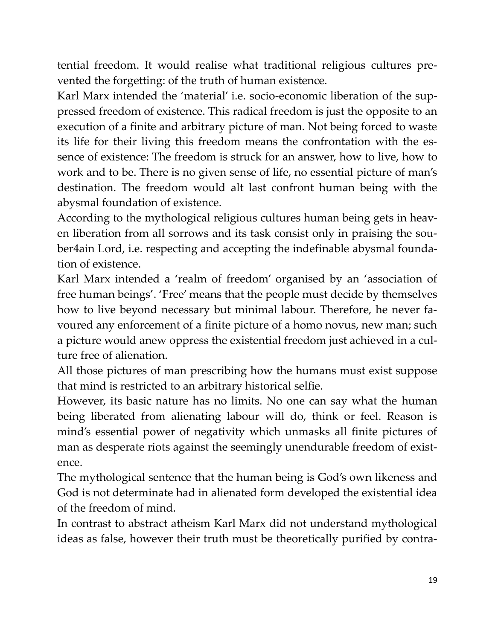tential freedom. It would realise what traditional religious cultures prevented the forgetting: of the truth of human existence.

Karl Marx intended the 'material' i.e. socio-economic liberation of the suppressed freedom of existence. This radical freedom is just the opposite to an execution of a finite and arbitrary picture of man. Not being forced to waste its life for their living this freedom means the confrontation with the essence of existence: The freedom is struck for an answer, how to live, how to work and to be. There is no given sense of life, no essential picture of man's destination. The freedom would alt last confront human being with the abysmal foundation of existence.

According to the mythological religious cultures human being gets in heaven liberation from all sorrows and its task consist only in praising the souber4ain Lord, i.e. respecting and accepting the indefinable abysmal foundation of existence.

Karl Marx intended a 'realm of freedom' organised by an 'association of free human beings'. 'Free' means that the people must decide by themselves how to live beyond necessary but minimal labour. Therefore, he never favoured any enforcement of a finite picture of a homo novus, new man; such a picture would anew oppress the existential freedom just achieved in a culture free of alienation.

All those pictures of man prescribing how the humans must exist suppose that mind is restricted to an arbitrary historical selfie.

However, its basic nature has no limits. No one can say what the human being liberated from alienating labour will do, think or feel. Reason is mind's essential power of negativity which unmasks all finite pictures of man as desperate riots against the seemingly unendurable freedom of existence.

The mythological sentence that the human being is God's own likeness and God is not determinate had in alienated form developed the existential idea of the freedom of mind.

In contrast to abstract atheism Karl Marx did not understand mythological ideas as false, however their truth must be theoretically purified by contra-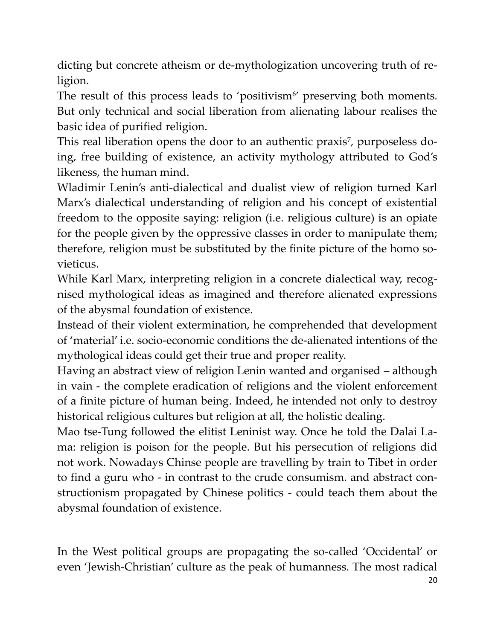dicting but concrete atheism or de-mythologization uncovering truth of religion.

The result of this process leads to 'positivism<sup>6'</sup> preserving both moments. But only technical and social liberation from alienating labour realises the basic idea of purified religion.

This real liberation opens the door to an authentic praxis<sup>7</sup>, purposeless doing, free building of existence, an activity mythology attributed to God's likeness, the human mind.

Wladimir Lenin's anti-dialectical and dualist view of religion turned Karl Marx's dialectical understanding of religion and his concept of existential freedom to the opposite saying: religion (i.e. religious culture) is an opiate for the people given by the oppressive classes in order to manipulate them; therefore, religion must be substituted by the finite picture of the homo sovieticus.

While Karl Marx, interpreting religion in a concrete dialectical way, recognised mythological ideas as imagined and therefore alienated expressions of the abysmal foundation of existence.

Instead of their violent extermination, he comprehended that development of 'material' i.e. socio-economic conditions the de-alienated intentions of the mythological ideas could get their true and proper reality.

Having an abstract view of religion Lenin wanted and organised – although in vain - the complete eradication of religions and the violent enforcement of a finite picture of human being. Indeed, he intended not only to destroy historical religious cultures but religion at all, the holistic dealing.

Mao tse-Tung followed the elitist Leninist way. Once he told the Dalai Lama: religion is poison for the people. But his persecution of religions did not work. Nowadays Chinse people are travelling by train to Tibet in order to find a guru who - in contrast to the crude consumism. and abstract constructionism propagated by Chinese politics - could teach them about the abysmal foundation of existence.

In the West political groups are propagating the so-called 'Occidental' or even 'Jewish-Christian' culture as the peak of humanness. The most radical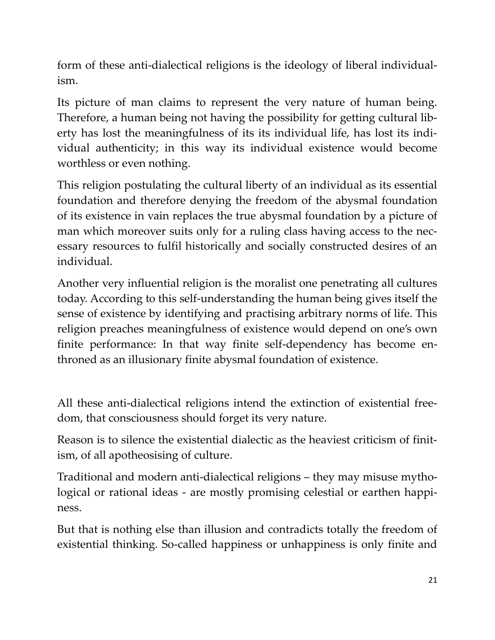form of these anti-dialectical religions is the ideology of liberal individualism.

Its picture of man claims to represent the very nature of human being. Therefore, a human being not having the possibility for getting cultural liberty has lost the meaningfulness of its its individual life, has lost its individual authenticity; in this way its individual existence would become worthless or even nothing.

This religion postulating the cultural liberty of an individual as its essential foundation and therefore denying the freedom of the abysmal foundation of its existence in vain replaces the true abysmal foundation by a picture of man which moreover suits only for a ruling class having access to the necessary resources to fulfil historically and socially constructed desires of an individual.

Another very influential religion is the moralist one penetrating all cultures today. According to this self-understanding the human being gives itself the sense of existence by identifying and practising arbitrary norms of life. This religion preaches meaningfulness of existence would depend on one's own finite performance: In that way finite self-dependency has become enthroned as an illusionary finite abysmal foundation of existence.

All these anti-dialectical religions intend the extinction of existential freedom, that consciousness should forget its very nature.

Reason is to silence the existential dialectic as the heaviest criticism of finitism, of all apotheosising of culture.

Traditional and modern anti-dialectical religions – they may misuse mythological or rational ideas - are mostly promising celestial or earthen happiness.

But that is nothing else than illusion and contradicts totally the freedom of existential thinking. So-called happiness or unhappiness is only finite and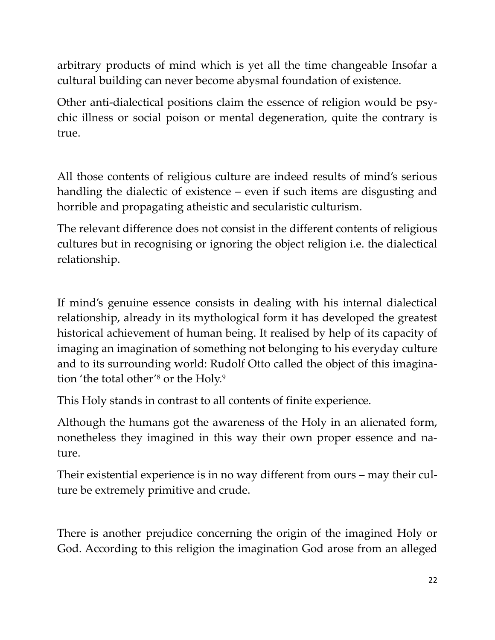arbitrary products of mind which is yet all the time changeable Insofar a cultural building can never become abysmal foundation of existence.

Other anti-dialectical positions claim the essence of religion would be psychic illness or social poison or mental degeneration, quite the contrary is true.

All those contents of religious culture are indeed results of mind's serious handling the dialectic of existence – even if such items are disgusting and horrible and propagating atheistic and secularistic culturism.

The relevant difference does not consist in the different contents of religious cultures but in recognising or ignoring the object religion i.e. the dialectical relationship.

If mind's genuine essence consists in dealing with his internal dialectical relationship, already in its mythological form it has developed the greatest historical achievement of human being. It realised by help of its capacity of imaging an imagination of something not belonging to his everyday culture and to its surrounding world: Rudolf Otto called the object of this imagination 'the total other'<sup>8</sup> or the Holy.<sup>9</sup>

This Holy stands in contrast to all contents of finite experience.

Although the humans got the awareness of the Holy in an alienated form, nonetheless they imagined in this way their own proper essence and nature.

Their existential experience is in no way different from ours – may their culture be extremely primitive and crude.

There is another prejudice concerning the origin of the imagined Holy or God. According to this religion the imagination God arose from an alleged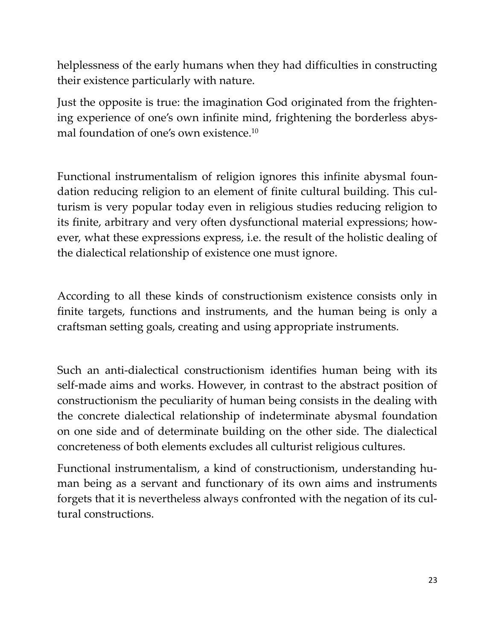helplessness of the early humans when they had difficulties in constructing their existence particularly with nature.

Just the opposite is true: the imagination God originated from the frightening experience of one's own infinite mind, frightening the borderless abysmal foundation of one's own existence.<sup>10</sup>

Functional instrumentalism of religion ignores this infinite abysmal foundation reducing religion to an element of finite cultural building. This culturism is very popular today even in religious studies reducing religion to its finite, arbitrary and very often dysfunctional material expressions; however, what these expressions express, i.e. the result of the holistic dealing of the dialectical relationship of existence one must ignore.

According to all these kinds of constructionism existence consists only in finite targets, functions and instruments, and the human being is only a craftsman setting goals, creating and using appropriate instruments.

Such an anti-dialectical constructionism identifies human being with its self-made aims and works. However, in contrast to the abstract position of constructionism the peculiarity of human being consists in the dealing with the concrete dialectical relationship of indeterminate abysmal foundation on one side and of determinate building on the other side. The dialectical concreteness of both elements excludes all culturist religious cultures.

Functional instrumentalism, a kind of constructionism, understanding human being as a servant and functionary of its own aims and instruments forgets that it is nevertheless always confronted with the negation of its cultural constructions.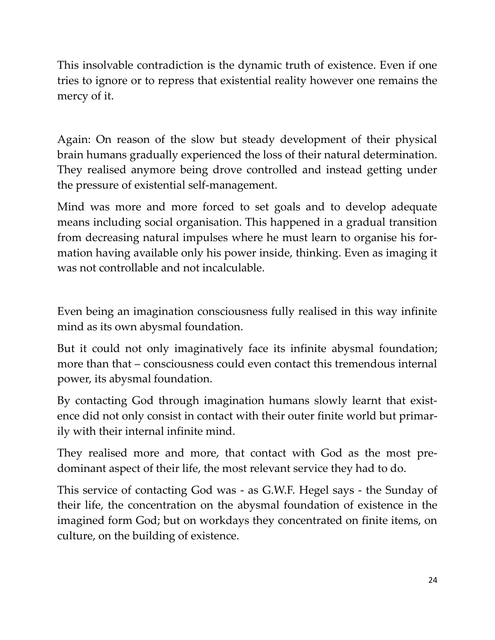This insolvable contradiction is the dynamic truth of existence. Even if one tries to ignore or to repress that existential reality however one remains the mercy of it.

Again: On reason of the slow but steady development of their physical brain humans gradually experienced the loss of their natural determination. They realised anymore being drove controlled and instead getting under the pressure of existential self-management.

Mind was more and more forced to set goals and to develop adequate means including social organisation. This happened in a gradual transition from decreasing natural impulses where he must learn to organise his formation having available only his power inside, thinking. Even as imaging it was not controllable and not incalculable.

Even being an imagination consciousness fully realised in this way infinite mind as its own abysmal foundation.

But it could not only imaginatively face its infinite abysmal foundation; more than that – consciousness could even contact this tremendous internal power, its abysmal foundation.

By contacting God through imagination humans slowly learnt that existence did not only consist in contact with their outer finite world but primarily with their internal infinite mind.

They realised more and more, that contact with God as the most predominant aspect of their life, the most relevant service they had to do.

This service of contacting God was - as G.W.F. Hegel says - the Sunday of their life, the concentration on the abysmal foundation of existence in the imagined form God; but on workdays they concentrated on finite items, on culture, on the building of existence.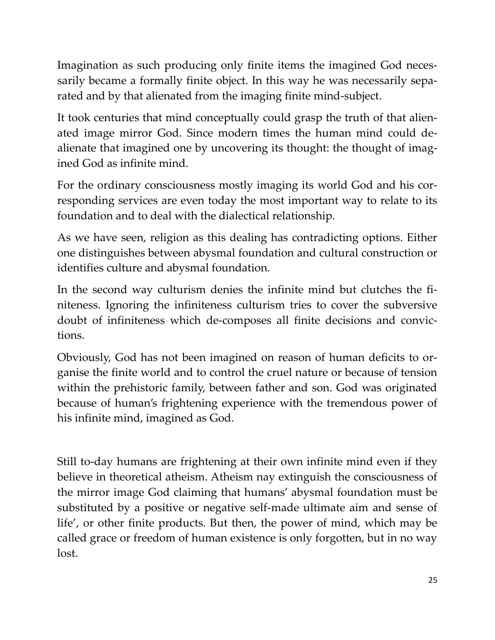Imagination as such producing only finite items the imagined God necessarily became a formally finite object. In this way he was necessarily separated and by that alienated from the imaging finite mind-subject.

It took centuries that mind conceptually could grasp the truth of that alienated image mirror God. Since modern times the human mind could dealienate that imagined one by uncovering its thought: the thought of imagined God as infinite mind.

For the ordinary consciousness mostly imaging its world God and his corresponding services are even today the most important way to relate to its foundation and to deal with the dialectical relationship.

As we have seen, religion as this dealing has contradicting options. Either one distinguishes between abysmal foundation and cultural construction or identifies culture and abysmal foundation.

In the second way culturism denies the infinite mind but clutches the finiteness. Ignoring the infiniteness culturism tries to cover the subversive doubt of infiniteness which de-composes all finite decisions and convictions.

Obviously, God has not been imagined on reason of human deficits to organise the finite world and to control the cruel nature or because of tension within the prehistoric family, between father and son. God was originated because of human's frightening experience with the tremendous power of his infinite mind, imagined as God.

Still to-day humans are frightening at their own infinite mind even if they believe in theoretical atheism. Atheism nay extinguish the consciousness of the mirror image God claiming that humans' abysmal foundation must be substituted by a positive or negative self-made ultimate aim and sense of life', or other finite products. But then, the power of mind, which may be called grace or freedom of human existence is only forgotten, but in no way lost.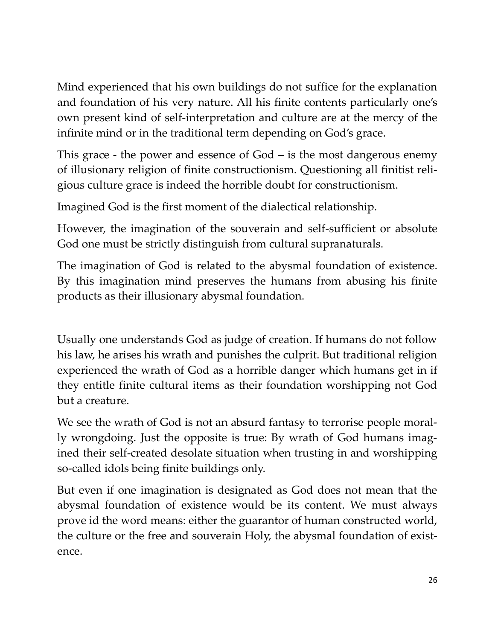Mind experienced that his own buildings do not suffice for the explanation and foundation of his very nature. All his finite contents particularly one's own present kind of self-interpretation and culture are at the mercy of the infinite mind or in the traditional term depending on God's grace.

This grace - the power and essence of God – is the most dangerous enemy of illusionary religion of finite constructionism. Questioning all finitist religious culture grace is indeed the horrible doubt for constructionism.

Imagined God is the first moment of the dialectical relationship.

However, the imagination of the souverain and self-sufficient or absolute God one must be strictly distinguish from cultural supranaturals.

The imagination of God is related to the abysmal foundation of existence. By this imagination mind preserves the humans from abusing his finite products as their illusionary abysmal foundation.

Usually one understands God as judge of creation. If humans do not follow his law, he arises his wrath and punishes the culprit. But traditional religion experienced the wrath of God as a horrible danger which humans get in if they entitle finite cultural items as their foundation worshipping not God but a creature.

We see the wrath of God is not an absurd fantasy to terrorise people morally wrongdoing. Just the opposite is true: By wrath of God humans imagined their self-created desolate situation when trusting in and worshipping so-called idols being finite buildings only.

But even if one imagination is designated as God does not mean that the abysmal foundation of existence would be its content. We must always prove id the word means: either the guarantor of human constructed world, the culture or the free and souverain Holy, the abysmal foundation of existence.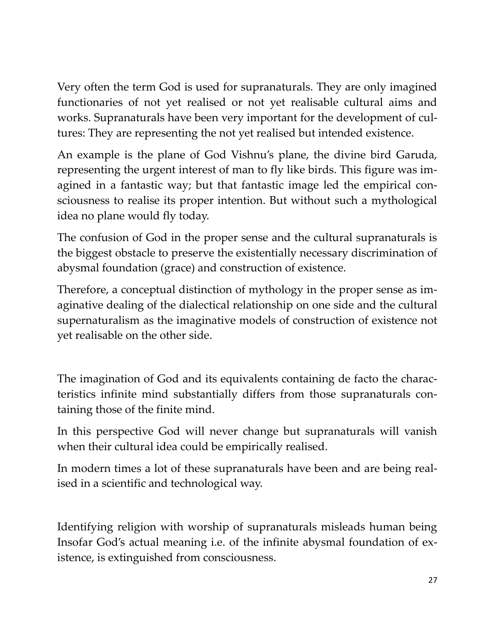Very often the term God is used for supranaturals. They are only imagined functionaries of not yet realised or not yet realisable cultural aims and works. Supranaturals have been very important for the development of cultures: They are representing the not yet realised but intended existence.

An example is the plane of God Vishnu's plane, the divine bird Garuda, representing the urgent interest of man to fly like birds. This figure was imagined in a fantastic way; but that fantastic image led the empirical consciousness to realise its proper intention. But without such a mythological idea no plane would fly today.

The confusion of God in the proper sense and the cultural supranaturals is the biggest obstacle to preserve the existentially necessary discrimination of abysmal foundation (grace) and construction of existence.

Therefore, a conceptual distinction of mythology in the proper sense as imaginative dealing of the dialectical relationship on one side and the cultural supernaturalism as the imaginative models of construction of existence not yet realisable on the other side.

The imagination of God and its equivalents containing de facto the characteristics infinite mind substantially differs from those supranaturals containing those of the finite mind.

In this perspective God will never change but supranaturals will vanish when their cultural idea could be empirically realised.

In modern times a lot of these supranaturals have been and are being realised in a scientific and technological way.

Identifying religion with worship of supranaturals misleads human being Insofar God's actual meaning i.e. of the infinite abysmal foundation of existence, is extinguished from consciousness.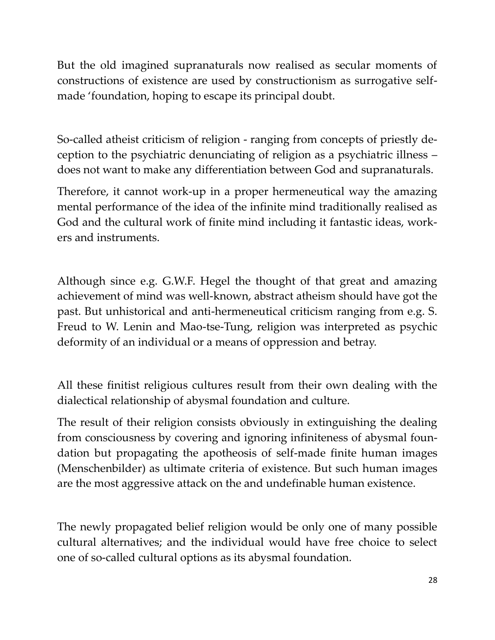But the old imagined supranaturals now realised as secular moments of constructions of existence are used by constructionism as surrogative selfmade 'foundation, hoping to escape its principal doubt.

So-called atheist criticism of religion - ranging from concepts of priestly deception to the psychiatric denunciating of religion as a psychiatric illness – does not want to make any differentiation between God and supranaturals.

Therefore, it cannot work-up in a proper hermeneutical way the amazing mental performance of the idea of the infinite mind traditionally realised as God and the cultural work of finite mind including it fantastic ideas, workers and instruments.

Although since e.g. G.W.F. Hegel the thought of that great and amazing achievement of mind was well-known, abstract atheism should have got the past. But unhistorical and anti-hermeneutical criticism ranging from e.g. S. Freud to W. Lenin and Mao-tse-Tung, religion was interpreted as psychic deformity of an individual or a means of oppression and betray.

All these finitist religious cultures result from their own dealing with the dialectical relationship of abysmal foundation and culture.

The result of their religion consists obviously in extinguishing the dealing from consciousness by covering and ignoring infiniteness of abysmal foundation but propagating the apotheosis of self-made finite human images (Menschenbilder) as ultimate criteria of existence. But such human images are the most aggressive attack on the and undefinable human existence.

The newly propagated belief religion would be only one of many possible cultural alternatives; and the individual would have free choice to select one of so-called cultural options as its abysmal foundation.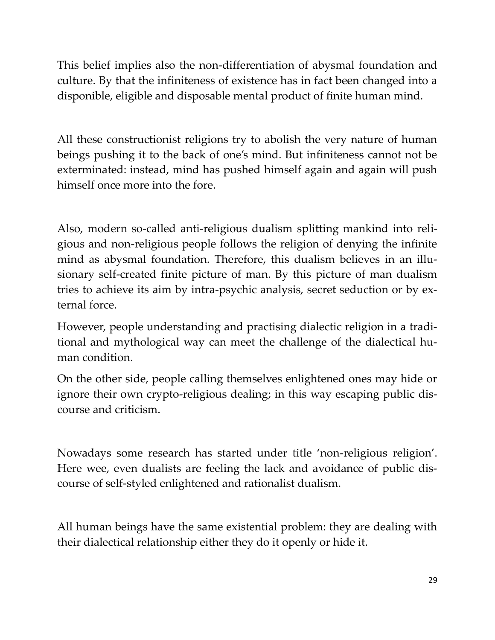This belief implies also the non-differentiation of abysmal foundation and culture. By that the infiniteness of existence has in fact been changed into a disponible, eligible and disposable mental product of finite human mind.

All these constructionist religions try to abolish the very nature of human beings pushing it to the back of one's mind. But infiniteness cannot not be exterminated: instead, mind has pushed himself again and again will push himself once more into the fore.

Also, modern so-called anti-religious dualism splitting mankind into religious and non-religious people follows the religion of denying the infinite mind as abysmal foundation. Therefore, this dualism believes in an illusionary self-created finite picture of man. By this picture of man dualism tries to achieve its aim by intra-psychic analysis, secret seduction or by external force.

However, people understanding and practising dialectic religion in a traditional and mythological way can meet the challenge of the dialectical human condition.

On the other side, people calling themselves enlightened ones may hide or ignore their own crypto-religious dealing; in this way escaping public discourse and criticism.

Nowadays some research has started under title 'non-religious religion'. Here wee, even dualists are feeling the lack and avoidance of public discourse of self-styled enlightened and rationalist dualism.

All human beings have the same existential problem: they are dealing with their dialectical relationship either they do it openly or hide it.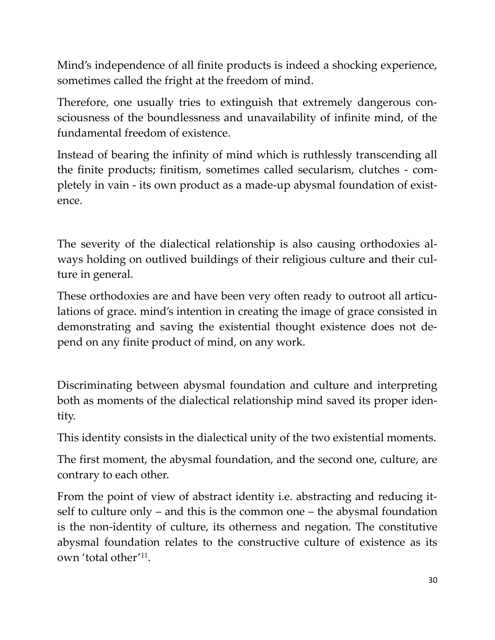Mind's independence of all finite products is indeed a shocking experience, sometimes called the fright at the freedom of mind.

Therefore, one usually tries to extinguish that extremely dangerous consciousness of the boundlessness and unavailability of infinite mind, of the fundamental freedom of existence.

Instead of bearing the infinity of mind which is ruthlessly transcending all the finite products; finitism, sometimes called secularism, clutches - completely in vain - its own product as a made-up abysmal foundation of existence.

The severity of the dialectical relationship is also causing orthodoxies always holding on outlived buildings of their religious culture and their culture in general.

These orthodoxies are and have been very often ready to outroot all articulations of grace. mind's intention in creating the image of grace consisted in demonstrating and saving the existential thought existence does not depend on any finite product of mind, on any work.

Discriminating between abysmal foundation and culture and interpreting both as moments of the dialectical relationship mind saved its proper identity.

This identity consists in the dialectical unity of the two existential moments.

The first moment, the abysmal foundation, and the second one, culture, are contrary to each other.

From the point of view of abstract identity i.e. abstracting and reducing itself to culture only – and this is the common one – the abysmal foundation is the non-identity of culture, its otherness and negation. The constitutive abysmal foundation relates to the constructive culture of existence as its own 'total other' 11 .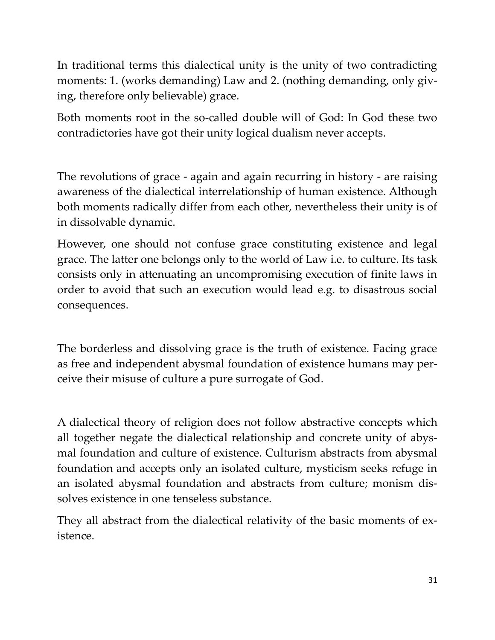In traditional terms this dialectical unity is the unity of two contradicting moments: 1. (works demanding) Law and 2. (nothing demanding, only giving, therefore only believable) grace.

Both moments root in the so-called double will of God: In God these two contradictories have got their unity logical dualism never accepts.

The revolutions of grace - again and again recurring in history - are raising awareness of the dialectical interrelationship of human existence. Although both moments radically differ from each other, nevertheless their unity is of in dissolvable dynamic.

However, one should not confuse grace constituting existence and legal grace. The latter one belongs only to the world of Law i.e. to culture. Its task consists only in attenuating an uncompromising execution of finite laws in order to avoid that such an execution would lead e.g. to disastrous social consequences.

The borderless and dissolving grace is the truth of existence. Facing grace as free and independent abysmal foundation of existence humans may perceive their misuse of culture a pure surrogate of God.

A dialectical theory of religion does not follow abstractive concepts which all together negate the dialectical relationship and concrete unity of abysmal foundation and culture of existence. Culturism abstracts from abysmal foundation and accepts only an isolated culture, mysticism seeks refuge in an isolated abysmal foundation and abstracts from culture; monism dissolves existence in one tenseless substance.

They all abstract from the dialectical relativity of the basic moments of existence.